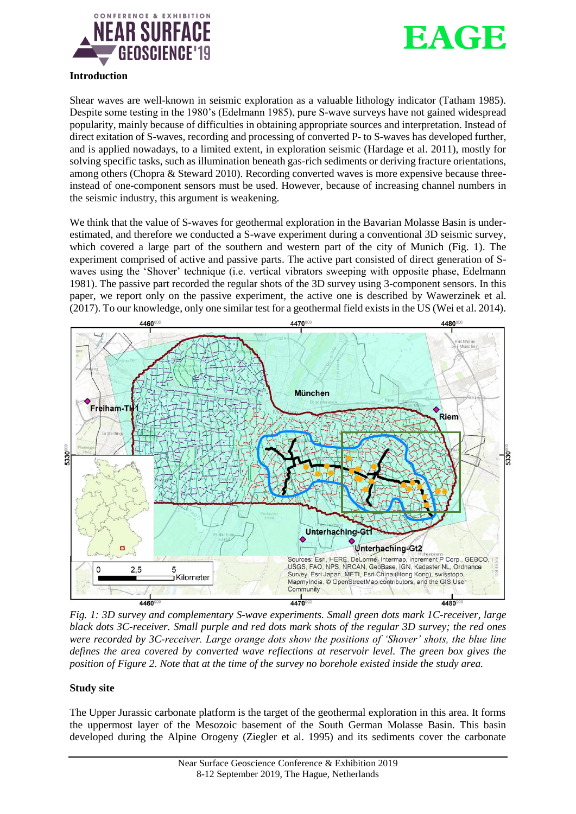



### **Introduction**

Shear waves are well-known in seismic exploration as a valuable lithology indicator (Tatham 1985). Despite some testing in the 1980's (Edelmann 1985), pure S-wave surveys have not gained widespread popularity, mainly because of difficulties in obtaining appropriate sources and interpretation. Instead of direct exitation of S-waves, recording and processing of converted P- to S-waves has developed further, and is applied nowadays, to a limited extent, in exploration seismic (Hardage et al. 2011), mostly for solving specific tasks, such as illumination beneath gas-rich sediments or deriving fracture orientations, among others (Chopra & Steward 2010). Recording converted waves is more expensive because threeinstead of one-component sensors must be used. However, because of increasing channel numbers in the seismic industry, this argument is weakening.

We think that the value of S-waves for geothermal exploration in the Bavarian Molasse Basin is underestimated, and therefore we conducted a S-wave experiment during a conventional 3D seismic survey, which covered a large part of the southern and western part of the city of Munich (Fig. 1). The experiment comprised of active and passive parts. The active part consisted of direct generation of Swaves using the 'Shover' technique (i.e. vertical vibrators sweeping with opposite phase, Edelmann 1981). The passive part recorded the regular shots of the 3D survey using 3-component sensors. In this paper, we report only on the passive experiment, the active one is described by Wawerzinek et al. (2017). To our knowledge, only one similar test for a geothermal field exists in the US (Wei et al. 2014).



*Fig. 1: 3D survey and complementary S-wave experiments. Small green dots mark 1C-receiver, large black dots 3C-receiver. Small purple and red dots mark shots of the regular 3D survey; the red ones were recorded by 3C-receiver. Large orange dots show the positions of 'Shover' shots, the blue line defines the area covered by converted wave reflections at reservoir level. The green box gives the position of Figure 2. Note that at the time of the survey no borehole existed inside the study area.* 

### **Study site**

The Upper Jurassic carbonate platform is the target of the geothermal exploration in this area. It forms the uppermost layer of the Mesozoic basement of the South German Molasse Basin. This basin developed during the Alpine Orogeny (Ziegler et al. 1995) and its sediments cover the carbonate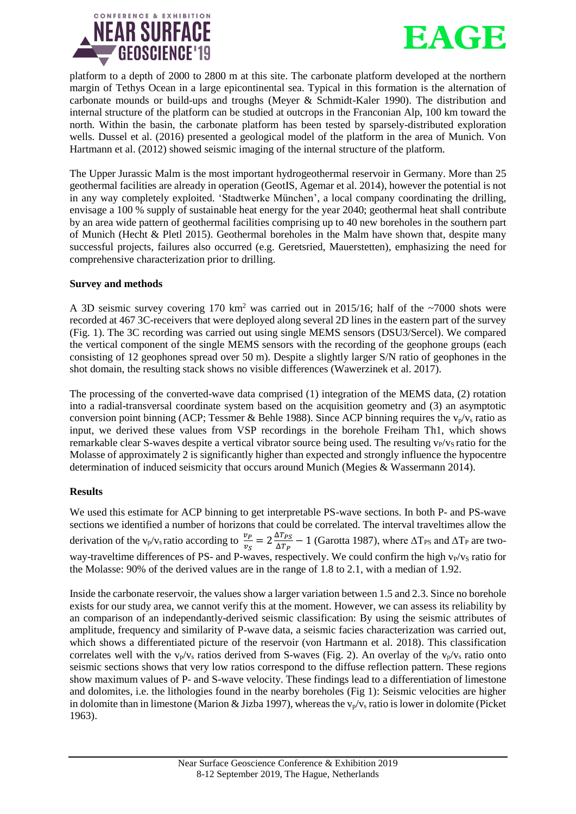



platform to a depth of 2000 to 2800 m at this site. The carbonate platform developed at the northern margin of Tethys Ocean in a large epicontinental sea. Typical in this formation is the alternation of carbonate mounds or build-ups and troughs (Meyer & Schmidt-Kaler 1990). The distribution and internal structure of the platform can be studied at outcrops in the Franconian Alp, 100 km toward the north. Within the basin, the carbonate platform has been tested by sparsely-distributed exploration wells. Dussel et al. (2016) presented a geological model of the platform in the area of Munich. Von Hartmann et al. (2012) showed seismic imaging of the internal structure of the platform.

The Upper Jurassic Malm is the most important hydrogeothermal reservoir in Germany. More than 25 geothermal facilities are already in operation (GeotIS, Agemar et al. 2014), however the potential is not in any way completely exploited. 'Stadtwerke München', a local company coordinating the drilling, envisage a 100 % supply of sustainable heat energy for the year 2040; geothermal heat shall contribute by an area wide pattern of geothermal facilities comprising up to 40 new boreholes in the southern part of Munich (Hecht  $\&$  Pletl 2015). Geothermal boreholes in the Malm have shown that, despite many successful projects, failures also occurred (e.g. Geretsried, Mauerstetten), emphasizing the need for comprehensive characterization prior to drilling.

### **Survey and methods**

A 3D seismic survey covering 170 km<sup>2</sup> was carried out in 2015/16; half of the  $\sim$ 7000 shots were recorded at 467 3C-receivers that were deployed along several 2D lines in the eastern part of the survey (Fig. 1). The 3C recording was carried out using single MEMS sensors (DSU3/Sercel). We compared the vertical component of the single MEMS sensors with the recording of the geophone groups (each consisting of 12 geophones spread over 50 m). Despite a slightly larger S/N ratio of geophones in the shot domain, the resulting stack shows no visible differences (Wawerzinek et al. 2017).

The processing of the converted-wave data comprised (1) integration of the MEMS data, (2) rotation into a radial-transversal coordinate system based on the acquisition geometry and (3) an asymptotic conversion point binning (ACP; Tessmer & Behle 1988). Since ACP binning requires the  $v_p/v_s$  ratio as input, we derived these values from VSP recordings in the borehole Freiham Th1, which shows remarkable clear S-waves despite a vertical vibrator source being used. The resulting  $v_P/v_S$  ratio for the Molasse of approximately 2 is significantly higher than expected and strongly influence the hypocentre determination of induced seismicity that occurs around Munich (Megies & Wassermann 2014).

### **Results**

We used this estimate for ACP binning to get interpretable PS-wave sections. In both P- and PS-wave sections we identified a number of horizons that could be correlated. The interval traveltimes allow the derivation of the v<sub>p</sub>/v<sub>s</sub> ratio according to  $\frac{v_p}{v_s} = 2 \frac{\Delta T_{PS}}{\Delta T_P}$  $\frac{\Delta T_{PS}}{\Delta T_P}$  – 1 (Garotta 1987), where  $\Delta T_{PS}$  and  $\Delta T_P$  are twoway-traveltime differences of PS- and P-waves, respectively. We could confirm the high v<sub>P</sub>/v<sub>S</sub> ratio for the Molasse: 90% of the derived values are in the range of 1.8 to 2.1, with a median of 1.92.

Inside the carbonate reservoir, the values show a larger variation between 1.5 and 2.3. Since no borehole exists for our study area, we cannot verify this at the moment. However, we can assess its reliability by an comparison of an independantly-derived seismic classification: By using the seismic attributes of amplitude, frequency and similarity of P-wave data, a seismic facies characterization was carried out, which shows a differentiated picture of the reservoir (von Hartmann et al. 2018). This classification correlates well with the  $v_p/v_s$  ratios derived from S-waves (Fig. 2). An overlay of the  $v_p/v_s$  ratio onto seismic sections shows that very low ratios correspond to the diffuse reflection pattern. These regions show maximum values of P- and S-wave velocity. These findings lead to a differentiation of limestone and dolomites, i.e. the lithologies found in the nearby boreholes (Fig 1): Seismic velocities are higher in dolomite than in limestone (Marion & Jizba 1997), whereas the  $v_p/v_s$  ratio is lower in dolomite (Picket 1963).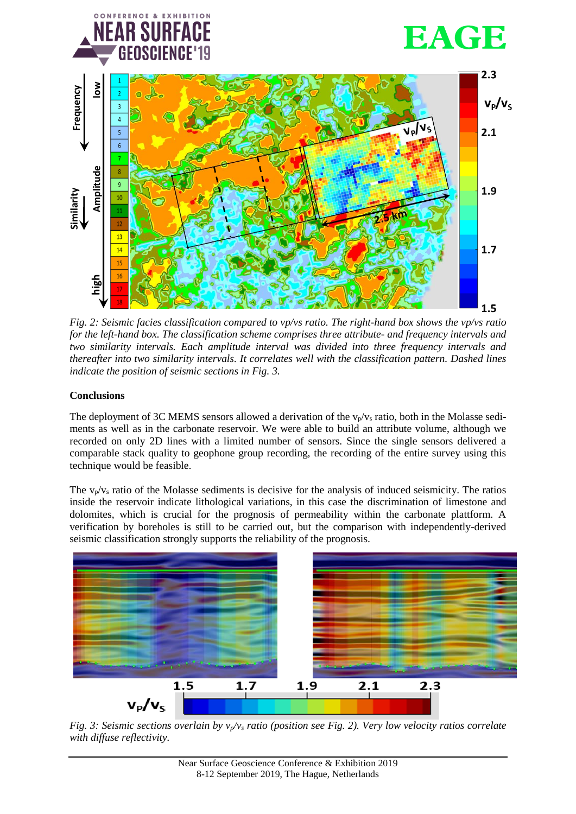

*Fig. 2: Seismic facies classification compared to vp/vs ratio. The right-hand box shows the vp/vs ratio for the left-hand box. The classification scheme comprises three attribute- and frequency intervals and two similarity intervals. Each amplitude interval was divided into three frequency intervals and thereafter into two similarity intervals. It correlates well with the classification pattern. Dashed lines indicate the position of seismic sections in Fig. 3.*

# **Conclusions**

The deployment of 3C MEMS sensors allowed a derivation of the  $v_p/v_s$  ratio, both in the Molasse sediments as well as in the carbonate reservoir. We were able to build an attribute volume, although we recorded on only 2D lines with a limited number of sensors. Since the single sensors delivered a comparable stack quality to geophone group recording, the recording of the entire survey using this technique would be feasible.

The  $v_p/v_s$  ratio of the Molasse sediments is decisive for the analysis of induced seismicity. The ratios inside the reservoir indicate lithological variations, in this case the discrimination of limestone and dolomites, which is crucial for the prognosis of permeability within the carbonate plattform. A verification by boreholes is still to be carried out, but the comparison with independently-derived seismic classification strongly supports the reliability of the prognosis.



*Fig. 3: Seismic sections overlain by vp/v<sup>s</sup> ratio (position see Fig. 2). Very low velocity ratios correlate*  with diffuse reflectivity.